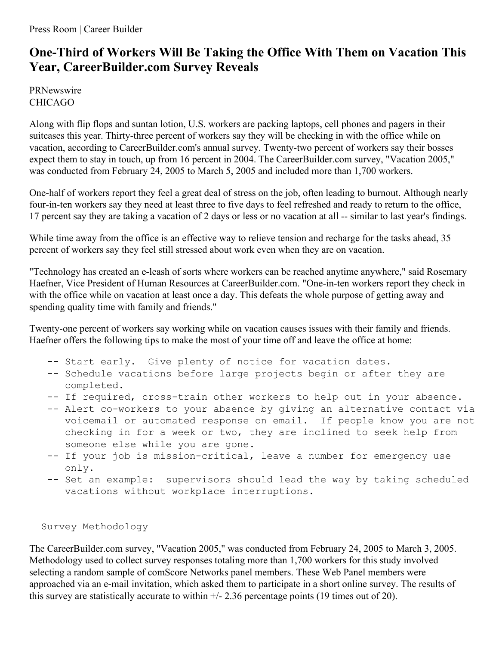## **One-Third of Workers Will Be Taking the Office With Them on Vacation This Year, CareerBuilder.com Survey Reveals**

PRNewswire CHICAGO

Along with flip flops and suntan lotion, U.S. workers are packing laptops, cell phones and pagers in their suitcases this year. Thirty-three percent of workers say they will be checking in with the office while on vacation, according to CareerBuilder.com's annual survey. Twenty-two percent of workers say their bosses expect them to stay in touch, up from 16 percent in 2004. The CareerBuilder.com survey, "Vacation 2005," was conducted from February 24, 2005 to March 5, 2005 and included more than 1,700 workers.

One-half of workers report they feel a great deal of stress on the job, often leading to burnout. Although nearly four-in-ten workers say they need at least three to five days to feel refreshed and ready to return to the office, 17 percent say they are taking a vacation of 2 days or less or no vacation at all -- similar to last year's findings.

While time away from the office is an effective way to relieve tension and recharge for the tasks ahead, 35 percent of workers say they feel still stressed about work even when they are on vacation.

"Technology has created an e-leash of sorts where workers can be reached anytime anywhere," said Rosemary Haefner, Vice President of Human Resources at CareerBuilder.com. "One-in-ten workers report they check in with the office while on vacation at least once a day. This defeats the whole purpose of getting away and spending quality time with family and friends."

Twenty-one percent of workers say working while on vacation causes issues with their family and friends. Haefner offers the following tips to make the most of your time off and leave the office at home:

- -- Start early. Give plenty of notice for vacation dates.
- -- Schedule vacations before large projects begin or after they are completed.
- -- If required, cross-train other workers to help out in your absence.
- -- Alert co-workers to your absence by giving an alternative contact via voicemail or automated response on email. If people know you are not checking in for a week or two, they are inclined to seek help from someone else while you are gone.
- -- If your job is mission-critical, leave a number for emergency use only.
- -- Set an example: supervisors should lead the way by taking scheduled vacations without workplace interruptions.

## Survey Methodology

The CareerBuilder.com survey, "Vacation 2005," was conducted from February 24, 2005 to March 3, 2005. Methodology used to collect survey responses totaling more than 1,700 workers for this study involved selecting a random sample of comScore Networks panel members. These Web Panel members were approached via an e-mail invitation, which asked them to participate in a short online survey. The results of this survey are statistically accurate to within  $+/- 2.36$  percentage points (19 times out of 20).